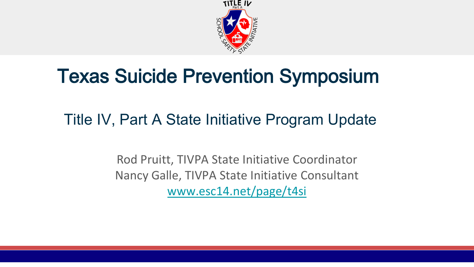

## Texas Suicide Prevention Symposium

### Title IV, Part A State Initiative Program Update

Rod Pruitt, TIVPA State Initiative Coordinator Nancy Galle, TIVPA State Initiative Consultant [www.esc14.net/page/t4si](http://www.esc14.net/page/t4si)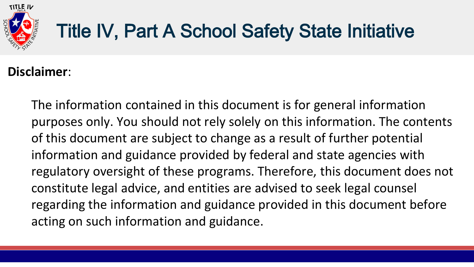

# Title IV, Part A School Safety State Initiative

#### **Disclaimer**:

The information contained in this document is for general information purposes only. You should not rely solely on this information. The contents of this document are subject to change as a result of further potential information and guidance provided by federal and state agencies with regulatory oversight of these programs. Therefore, this document does not constitute legal advice, and entities are advised to seek legal counsel regarding the information and guidance provided in this document before acting on such information and guidance.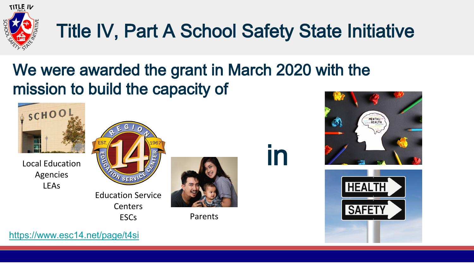

# Title IV, Part A School Safety State Initiative

## We were awarded the grant in March 2020 with the mission to build the capacity of

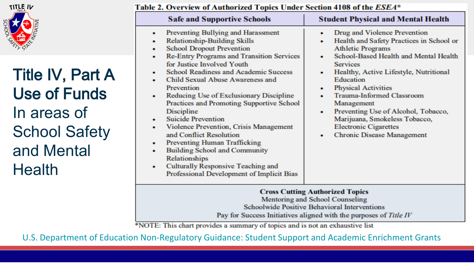

Title IV, Part A Use of Funds In areas of School Safety and Mental **Health** 

| Table 2. Overview of Authorized Topics Under Section 4108 of the $ESEA^{\ast}$ |  |
|--------------------------------------------------------------------------------|--|
|--------------------------------------------------------------------------------|--|

| <b>Safe and Supportive Schools</b>                                                                                                                                                                                                                                                                                                                                                                                                                                                                                                                                                                                                                                                                                            | <b>Student Physical and Mental Health</b>                                                                                                                                                                                                                                                                                                                                                                                                                                          |  |
|-------------------------------------------------------------------------------------------------------------------------------------------------------------------------------------------------------------------------------------------------------------------------------------------------------------------------------------------------------------------------------------------------------------------------------------------------------------------------------------------------------------------------------------------------------------------------------------------------------------------------------------------------------------------------------------------------------------------------------|------------------------------------------------------------------------------------------------------------------------------------------------------------------------------------------------------------------------------------------------------------------------------------------------------------------------------------------------------------------------------------------------------------------------------------------------------------------------------------|--|
| Preventing Bullying and Harassment<br>٠<br><b>Relationship-Building Skills</b><br><b>School Dropout Prevention</b><br>۰<br>Re-Entry Programs and Transition Services<br>for Justice Involved Youth<br><b>School Readiness and Academic Success</b><br>Child Sexual Abuse Awareness and<br>۰<br>Prevention<br>Reducing Use of Exclusionary Discipline<br>۰<br>Practices and Promoting Supportive School<br>Discipline<br><b>Suicide Prevention</b><br>Violence Prevention, Crisis Management<br>٠<br>and Conflict Resolution<br><b>Preventing Human Trafficking</b><br>۰<br><b>Building School and Community</b><br>۰<br>Relationships<br>Culturally Responsive Teaching and<br>٠<br>Professional Development of Implicit Bias | Drug and Violence Prevention<br>٠<br>Health and Safety Practices in School or<br>٠<br><b>Athletic Programs</b><br>School-Based Health and Mental Health<br><b>Services</b><br>Healthy, Active Lifestyle, Nutritional<br>٠<br>Education<br><b>Physical Activities</b><br>٠<br><b>Trauma-Informed Classroom</b><br>Management<br>Preventing Use of Alcohol, Tobacco,<br>۰<br>Marijuana, Smokeless Tobacco,<br><b>Electronic Cigarettes</b><br><b>Chronic Disease Management</b><br>۰ |  |
| <b>Cross Cutting Authorized Topics</b><br>Mentoring and School Counseling                                                                                                                                                                                                                                                                                                                                                                                                                                                                                                                                                                                                                                                     |                                                                                                                                                                                                                                                                                                                                                                                                                                                                                    |  |

Schoolwide Positive Behavioral Interventions Pay for Success Initiatives aligned with the purposes of Title IV

\*NOTE: This chart provides a summary of topics and is not an exhaustive list

[U.S. Department of Education Non-Regulatory Guidance: Student Support and Academic Enrichment Grants](https://www2.ed.gov/policy/elsec/leg/essa/essassaegrantguid10212016.pdf)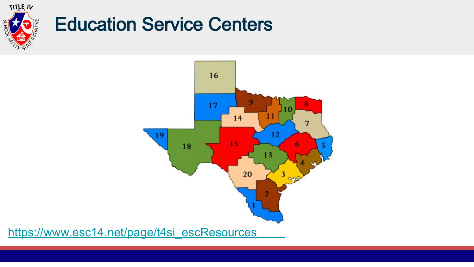

## Education Service Centers



[https://www.esc14.net/page/t4si\\_escResources](https://www.esc14.net/page/t4si_escResources)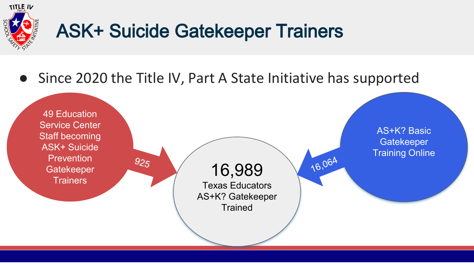

# ASK+ Suicide Gatekeeper Trainers

● Since 2020 the Title IV, Part A State Initiative has supported

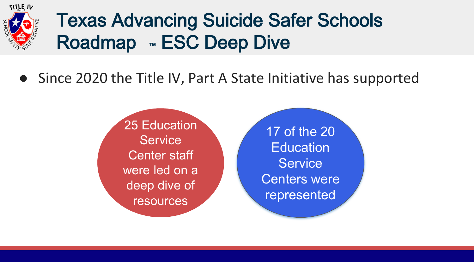

# Texas Advancing Suicide Safer Schools Roadmap <sub>™</sub> ESC Deep Dive

● Since 2020 the Title IV, Part A State Initiative has supported

25 Education **Service** Center staff were led on a deep dive of resources

17 of the 20 **Education Service** Centers were represented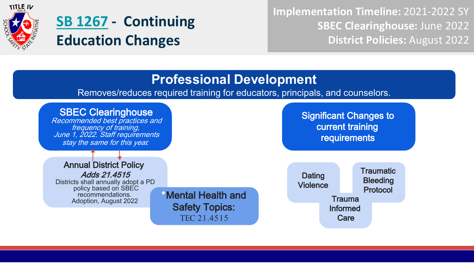

## **[SB 1267](https://legiscan.com/TX/bill/SB1267/2021) - Continuing Education Changes**

**Implementation Timeline:** 2021-2022 SY **SBEC Clearinghouse:** June 2022 **District Policies:** August 2022

#### **Professional Development**

Removes/reduces required training for educators, principals, and counselors.

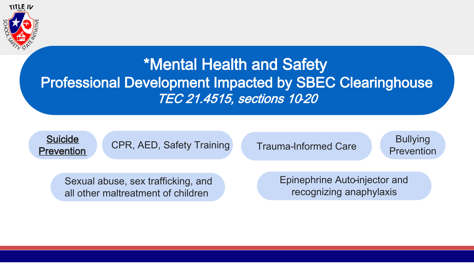

### \*Mental Health and Safety Professional Development Impacted by SBEC Clearinghouse TEC 21.4515, sections 10-20



CPR, AED, Safety Training Trauma-Informed Care Prevention

Trauma-Informed Care

Bullying

Sexual abuse, sex trafficking, and all other maltreatment of children

Epinephrine Auto-injector and recognizing anaphylaxis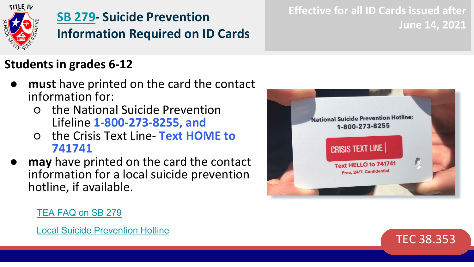

### **[SB 279](https://legiscan.com/TX/bill/SB279/2021)- Suicide Prevention Information Required on ID Cards**

#### **Students in grades 6-12**

- **must** have printed on the card the contact information for:
	- the National Suicide Prevention Lifeline **1-800-273-8255, and**
	- the Crisis Text Line- **Text HOME to 741741**
- **may** have printed on the card the contact information for a local suicide prevention hotline, if available.



**Effective for all ID Cards issued after** 

#### [TEA FAQ on SB 279](https://tea.texas.gov/about-tea/other-services/mental-health/mental-health-and-behavioral-health)



**June 14, 2021**